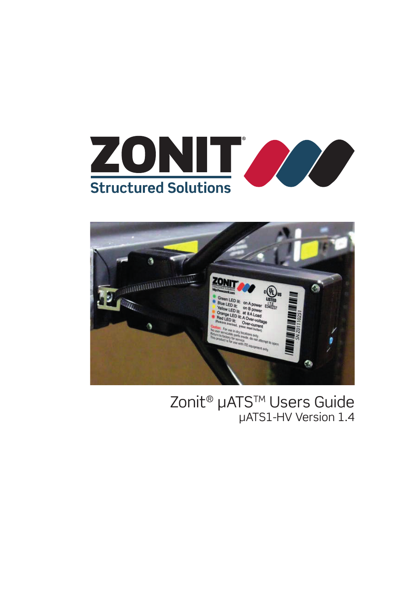



#### Zonit<sup>®</sup> µATS<sup>™</sup> Users Guide µATS1-HV Version 1.4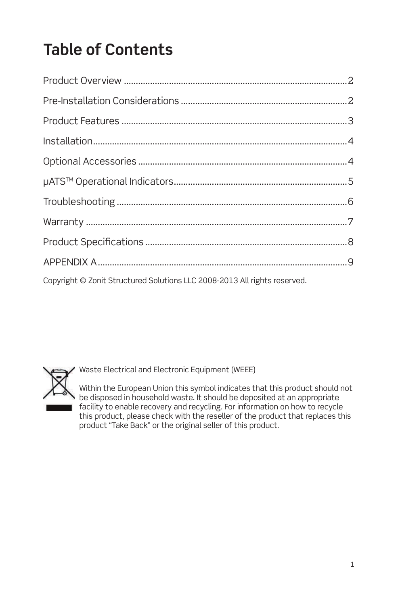# **Table of Contents**

| Copyright © Zonit Structured Solutions LLC 2008-2013 All rights reserved. |  |
|---------------------------------------------------------------------------|--|



Waste Electrical and Electronic Equipment (WEEE)

Within the European Union this symbol indicates that this product should not be disposed in household waste. It should be deposited at an appropriate facility to enable recovery and recycling. For information on how to recycle this product, please check with the reseller of the product that replaces this product "Take Back" or the original seller of this product.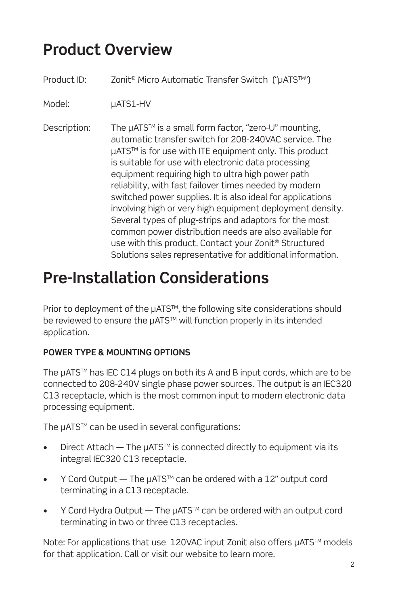#### **Product Overview**

| Product ID:  | Zonit <sup>®</sup> Micro Automatic Transfer Switch ("µATS™")                                                                                                                                                                                                                                                                                                                                                                                                                                                                                                                                                                                                                                                                    |
|--------------|---------------------------------------------------------------------------------------------------------------------------------------------------------------------------------------------------------------------------------------------------------------------------------------------------------------------------------------------------------------------------------------------------------------------------------------------------------------------------------------------------------------------------------------------------------------------------------------------------------------------------------------------------------------------------------------------------------------------------------|
| Model:       | µATS1-HV                                                                                                                                                                                                                                                                                                                                                                                                                                                                                                                                                                                                                                                                                                                        |
| Description: | The µATS™ is a small form factor, "zero-U" mounting,<br>automatic transfer switch for 208-240VAC service. The<br>µATS™ is for use with ITE equipment only. This product<br>is suitable for use with electronic data processing<br>equipment requiring high to ultra high power path<br>reliability, with fast failover times needed by modern<br>switched power supplies. It is also ideal for applications<br>involving high or very high equipment deployment density.<br>Several types of plug-strips and adaptors for the most<br>common power distribution needs are also available for<br>use with this product. Contact your Zonit <sup>®</sup> Structured<br>Solutions sales representative for additional information. |

#### **Pre-Installation Considerations**

Prior to deployment of the µATS<sup>™</sup>, the following site considerations should be reviewed to ensure the µATS<sup>™</sup> will function properly in its intended application.

#### **POWER TYPE & MOUNTING OPTIONS**

The µATS<sup>™</sup> has IEC C14 plugs on both its A and B input cords, which are to be connected to 208-240V single phase power sources. The output is an IEC320 C13 receptacle, which is the most common input to modern electronic data processing equipment.

The µATS™ can be used in several configurations:

- Direct Attach  $-$  The  $\mu$ ATS<sup>TM</sup> is connected directly to equipment via its integral IEC320 C13 receptacle.
- Y Cord Output  $-$  The  $\mu$ ATS<sup>TM</sup> can be ordered with a 12" output cord terminating in a C13 receptacle.
- Y Cord Hydra Output  $-$  The  $\mu$ ATS<sup>TM</sup> can be ordered with an output cord terminating in two or three C13 receptacles.

Note: For applications that use 120VAC input Zonit also offers µATS™ models for that application. Call or visit our website to learn more.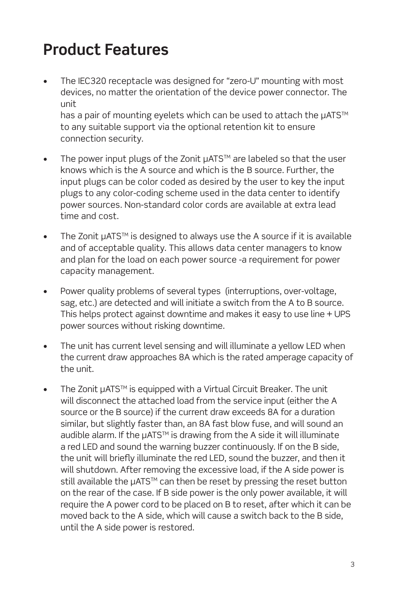### **Product Features**

The IEC320 receptacle was designed for "zero-U" mounting with most devices, no matter the orientation of the device power connector. The unit

has a pair of mounting eyelets which can be used to attach the  $\mu$ ATS<sup>TM</sup> to any suitable support via the optional retention kit to ensure connection security.

- The power input plugs of the Zonit µATS™ are labeled so that the user knows which is the A source and which is the B source. Further, the input plugs can be color coded as desired by the user to key the input plugs to any color-coding scheme used in the data center to identify power sources. Non-standard color cords are available at extra lead time and cost.
- The Zonit µATS<sup>™</sup> is designed to always use the A source if it is available and of acceptable quality. This allows data center managers to know and plan for the load on each power source -a requirement for power capacity management.
- Power quality problems of several types (interruptions, over-voltage, sag, etc.) are detected and will initiate a switch from the A to B source. This helps protect against downtime and makes it easy to use line + UPS power sources without risking downtime.
- The unit has current level sensing and will illuminate a yellow LED when the current draw approaches 8A which is the rated amperage capacity of the unit.
- The Zonit µATS™ is equipped with a Virtual Circuit Breaker. The unit will disconnect the attached load from the service input (either the A source or the B source) if the current draw exceeds 8A for a duration similar, but slightly faster than, an 8A fast blow fuse, and will sound an audible alarm. If the  $\mu$ ATS<sup>TM</sup> is drawing from the A side it will illuminate a red LED and sound the warning buzzer continuously. If on the B side, the unit will briefly illuminate the red LED, sound the buzzer, and then it will shutdown. After removing the excessive load, if the A side power is still available the µATS<sup>™</sup> can then be reset by pressing the reset button on the rear of the case. If B side power is the only power available, it will require the A power cord to be placed on B to reset, after which it can be moved back to the A side, which will cause a switch back to the B side, until the A side power is restored.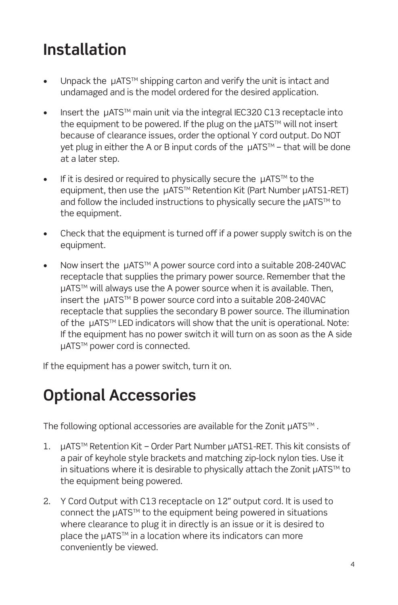## **Installation**

- Unpack the  $\mu$ ATS<sup>TM</sup> shipping carton and verify the unit is intact and undamaged and is the model ordered for the desired application.
- $\bullet$  Insert the  $\mu$ ATS<sup>TM</sup> main unit via the integral IEC320 C13 receptacle into the equipment to be powered. If the plug on the µATS™ will not insert because of clearance issues, order the optional Y cord output. Do NOT yet plug in either the A or B input cords of the µATS™ - that will be done at a later step.
- If it is desired or required to physically secure the  $\mu$ ATS™ to the equipment, then use the µATS™ Retention Kit (Part Number µATS1-RET) and follow the included instructions to physically secure the µATS™ to the equipment.
- Check that the equipment is turned off if a power supply switch is on the equipment.
- Now insert the  $\mu$ ATS<sup>TM</sup> A power source cord into a suitable 208-240VAC receptacle that supplies the primary power source. Remember that the µATS<sup>™</sup> will always use the A power source when it is available. Then, insert the µATSTM B power source cord into a suitable 208-240VAC receptacle that supplies the secondary B power source. The illumination of the µATS<sup>™</sup> LED indicators will show that the unit is operational. Note: If the equipment has no power switch it will turn on as soon as the A side µATS<sup>™</sup> power cord is connected.

If the equipment has a power switch, turn it on.

#### **Optional Accessories**

The following optional accessories are available for the Zonit µATS™.

- 1. µATSTM Retention Kit Order Part Number µATS1-RET. This kit consists of a pair of keyhole style brackets and matching zip-lock nylon ties. Use it in situations where it is desirable to physically attach the Zonit  $\mu$ ATS™ to the equipment being powered.
- 2. Y Cord Output with C13 receptacle on 12" output cord. It is used to connect the µATS<sup>™</sup> to the equipment being powered in situations where clearance to plug it in directly is an issue or it is desired to place the µATS<sup>™</sup> in a location where its indicators can more conveniently be viewed.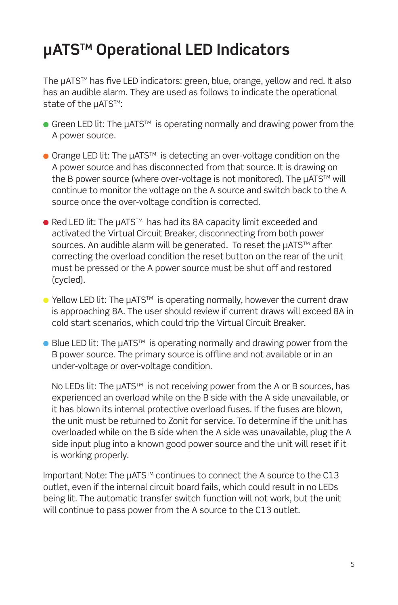### **µATSTM Operational LED Indicators**

The µATS<sup>™</sup> has five LED indicators: green, blue, orange, yellow and red. It also has an audible alarm. They are used as follows to indicate the operational state of the µATS™:

- Green LED lit: The µATS<sup>™</sup> is operating normally and drawing power from the A power source.
- $\bullet$  Orange LED lit: The  $\mu$ ATS<sup>TM</sup> is detecting an over-voltage condition on the A power source and has disconnected from that source. It is drawing on the B power source (where over-voltage is not monitored). The µATS™ will continue to monitor the voltage on the A source and switch back to the A source once the over-voltage condition is corrected.
- $\bullet$  Red LED lit: The  $\mu$ ATS<sup>TM</sup> has had its 8A capacity limit exceeded and activated the Virtual Circuit Breaker, disconnecting from both power sources. An audible alarm will be generated. To reset the µATS™ after correcting the overload condition the reset button on the rear of the unit must be pressed or the A power source must be shut off and restored (cycled).
- $\bullet$  Yellow LED lit: The  $\mu$ ATS<sup>TM</sup> is operating normally, however the current draw is approaching 8A. The user should review if current draws will exceed 8A in cold start scenarios, which could trip the Virtual Circuit Breaker.
- $\bullet$  Blue LED lit: The  $\mu$ ATS<sup>TM</sup> is operating normally and drawing power from the B power source. The primary source is offline and not available or in an under-voltage or over-voltage condition.

No LEDs lit: The µATS<sup>™</sup> is not receiving power from the A or B sources, has experienced an overload while on the B side with the A side unavailable, or it has blown its internal protective overload fuses. If the fuses are blown, the unit must be returned to Zonit for service. To determine if the unit has overloaded while on the B side when the A side was unavailable, plug the A side input plug into a known good power source and the unit will reset if it is working properly.

Important Note: The µATSTM continues to connect the A source to the C13 outlet, even if the internal circuit board fails, which could result in no LEDs being lit. The automatic transfer switch function will not work, but the unit will continue to pass power from the A source to the C13 outlet.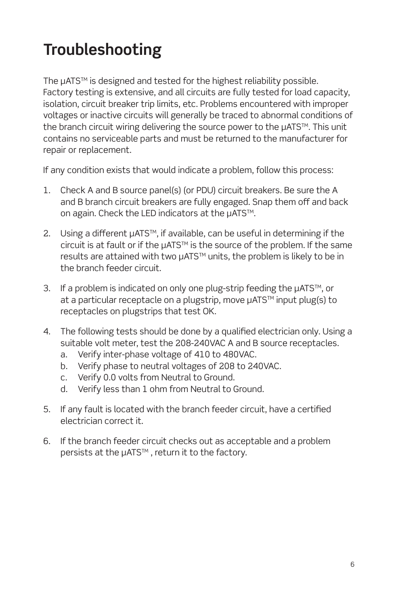## **Troubleshooting**

The µATS<sup>™</sup> is designed and tested for the highest reliability possible. Factory testing is extensive, and all circuits are fully tested for load capacity, isolation, circuit breaker trip limits, etc. Problems encountered with improper voltages or inactive circuits will generally be traced to abnormal conditions of the branch circuit wiring delivering the source power to the µATS™. This unit contains no serviceable parts and must be returned to the manufacturer for repair or replacement.

If any condition exists that would indicate a problem, follow this process:

- 1. Check A and B source panel(s) (or PDU) circuit breakers. Be sure the A and B branch circuit breakers are fully engaged. Snap them off and back on again. Check the LED indicators at the µATS™.
- 2. Using a different µATS™, if available, can be useful in determining if the circuit is at fault or if the µATS<sup>™</sup> is the source of the problem. If the same results are attained with two µATS<sup>™</sup> units, the problem is likely to be in the branch feeder circuit.
- 3. If a problem is indicated on only one plug-strip feeding the µATS™, or at a particular receptacle on a plugstrip, move µATS™ input plug(s) to receptacles on plugstrips that test OK.
- 4. The following tests should be done by a qualified electrician only. Using a suitable volt meter, test the 208-240VAC A and B source receptacles.
	- a. Verify inter-phase voltage of 410 to 480VAC.
	- b. Verify phase to neutral voltages of 208 to 240VAC.
	- c. Verify 0.0 volts from Neutral to Ground.
	- d. Verify less than 1 ohm from Neutral to Ground.
- 5. If any fault is located with the branch feeder circuit, have a certified electrician correct it.
- 6. If the branch feeder circuit checks out as acceptable and a problem persists at the µATS<sup>™</sup>, return it to the factory.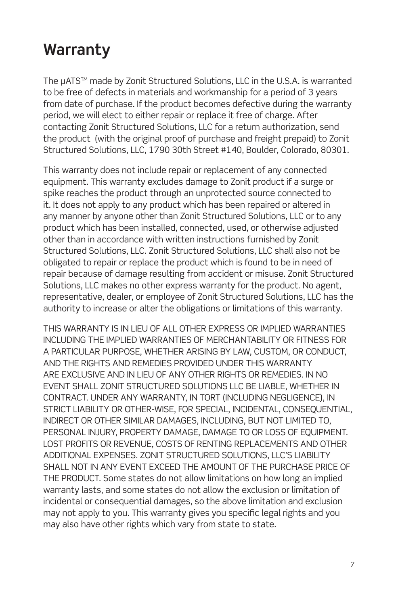#### **Warranty**

The µATS<sup>™</sup> made by Zonit Structured Solutions, LLC in the U.S.A. is warranted to be free of defects in materials and workmanship for a period of 3 years from date of purchase. If the product becomes defective during the warranty period, we will elect to either repair or replace it free of charge. After contacting Zonit Structured Solutions, LLC for a return authorization, send the product (with the original proof of purchase and freight prepaid) to Zonit Structured Solutions, LLC, 1790 30th Street #140, Boulder, Colorado, 80301.

This warranty does not include repair or replacement of any connected equipment. This warranty excludes damage to Zonit product if a surge or spike reaches the product through an unprotected source connected to it. It does not apply to any product which has been repaired or altered in any manner by anyone other than Zonit Structured Solutions, LLC or to any product which has been installed, connected, used, or otherwise adjusted other than in accordance with written instructions furnished by Zonit Structured Solutions, LLC. Zonit Structured Solutions, LLC shall also not be obligated to repair or replace the product which is found to be in need of repair because of damage resulting from accident or misuse. Zonit Structured Solutions, LLC makes no other express warranty for the product. No agent, representative, dealer, or employee of Zonit Structured Solutions, LLC has the authority to increase or alter the obligations or limitations of this warranty.

THIS WARRANTY IS IN LIEU OF ALL OTHER EXPRESS OR IMPLIED WARRANTIES INCLUDING THE IMPLIED WARRANTIES OF MERCHANTABILITY OR FITNESS FOR A PARTICULAR PURPOSE, WHETHER ARISING BY LAW, CUSTOM, OR CONDUCT, AND THE RIGHTS AND REMEDIES PROVIDED UNDER THIS WARRANTY ARE EXCLUSIVE AND IN LIEU OF ANY OTHER RIGHTS OR REMEDIES. IN NO EVENT SHALL ZONIT STRUCTURED SOLUTIONS LLC BE LIABLE, WHETHER IN CONTRACT. UNDER ANY WARRANTY, IN TORT (INCLUDING NEGLIGENCE), IN STRICT LIABILITY OR OTHER-WISE, FOR SPECIAL, INCIDENTAL, CONSEQUENTIAL, INDIRECT OR OTHER SIMILAR DAMAGES, INCLUDING, BUT NOT LIMITED TO, PERSONAL INJURY, PROPERTY DAMAGE, DAMAGE TO OR LOSS OF EQUIPMENT. LOST PROFITS OR REVENUE, COSTS OF RENTING REPLACEMENTS AND OTHER ADDITIONAL EXPENSES. ZONIT STRUCTURED SOLUTIONS, LLC'S LIABILITY SHALL NOT IN ANY EVENT EXCEED THE AMOUNT OF THE PURCHASE PRICE OF THE PRODUCT. Some states do not allow limitations on how long an implied warranty lasts, and some states do not allow the exclusion or limitation of incidental or consequential damages, so the above limitation and exclusion may not apply to you. This warranty gives you specific legal rights and you may also have other rights which vary from state to state.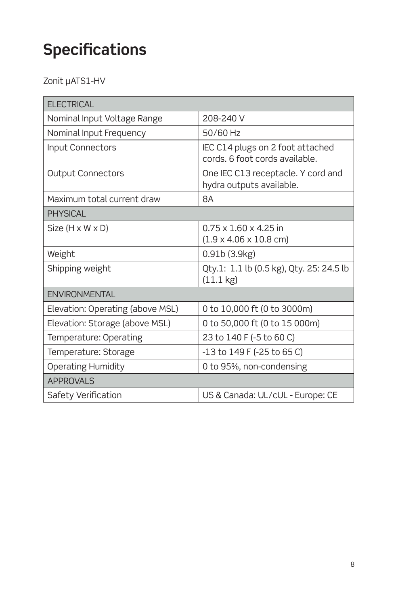## **Specifications**

Zonit µATS1-HV

| <b>ELECTRICAL</b>                |                                                                                 |  |
|----------------------------------|---------------------------------------------------------------------------------|--|
| Nominal Input Voltage Range      | 208-240 V                                                                       |  |
| Nominal Input Frequency          | 50/60 Hz                                                                        |  |
| Input Connectors                 | IEC C14 plugs on 2 foot attached<br>cords. 6 foot cords available.              |  |
| <b>Output Connectors</b>         | One IEC C13 receptacle. Y cord and<br>hydra outputs available.                  |  |
| Maximum total current draw       | 8A                                                                              |  |
| <b>PHYSICAL</b>                  |                                                                                 |  |
| Size $(H \times W \times D)$     | $0.75 \times 1.60 \times 4.25$ in<br>$(1.9 \times 4.06 \times 10.8 \text{ cm})$ |  |
| Weight                           | 0.91b(3.9kg)                                                                    |  |
| Shipping weight                  | Qty.1: 1.1 lb (0.5 kg), Qty. 25: 24.5 lb<br>$(11.1 \text{ kg})$                 |  |
| <b>FNVIRONMENTAI</b>             |                                                                                 |  |
| Elevation: Operating (above MSL) | 0 to 10,000 ft (0 to 3000m)                                                     |  |
| Elevation: Storage (above MSL)   | 0 to 50,000 ft (0 to 15 000m)                                                   |  |
| Temperature: Operating           | 23 to 140 F (-5 to 60 C)                                                        |  |
| Temperature: Storage             | $-13$ to $149$ F ( $-25$ to 65 C)                                               |  |
| Operating Humidity               | 0 to 95%, non-condensing                                                        |  |
| <b>APPROVALS</b>                 |                                                                                 |  |
| Safety Verification              | US & Canada: UL/cUL - Europe: CE                                                |  |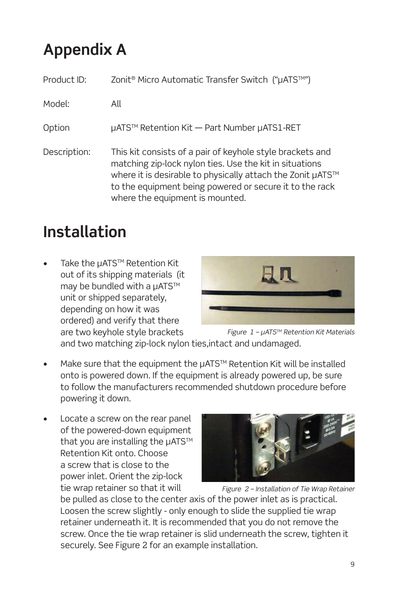## **Appendix A**

| Product ID:  | Zonit <sup>®</sup> Micro Automatic Transfer Switch ("µATS™")                                                                                                                                                                                                                     |
|--------------|----------------------------------------------------------------------------------------------------------------------------------------------------------------------------------------------------------------------------------------------------------------------------------|
| Model:       | All                                                                                                                                                                                                                                                                              |
| Option       | µATS™ Retention Kit - Part Number µATS1-RET                                                                                                                                                                                                                                      |
| Description: | This kit consists of a pair of keyhole style brackets and<br>matching zip-lock nylon ties. Use the kit in situations<br>where it is desirable to physically attach the Zonit µATS™<br>to the equipment being powered or secure it to the rack<br>where the equipment is mounted. |

#### **Installation**

Take the µATS™ Retention Kit out of its shipping materials (it may be bundled with a µATS™ unit or shipped separately, depending on how it was ordered) and verify that there are two keyhole style brackets



Figure  $1 - \mu$ ATS<sup>TM</sup> Retention Kit Materials

and two matching zip-lock nylon ties,intact and undamaged.

- Make sure that the equipment the µATS™ Retention Kit will be installed onto is powered down. If the equipment is already powered up, be sure to follow the manufacturers recommended shutdown procedure before powering it down.
- Locate a screw on the rear panel of the powered-down equipment that you are installing the µATS™ Retention Kit onto. Choose a screw that is close to the power inlet. Orient the zip-lock tie wrap retainer so that it will



Figure 2 – Installation of Tie Wrap Retainer

be pulled as close to the center axis of the power inlet as is practical. Loosen the screw slightly - only enough to slide the supplied tie wrap retainer underneath it. It is recommended that you do not remove the screw. Once the tie wrap retainer is slid underneath the screw, tighten it securely. See Figure 2 for an example installation.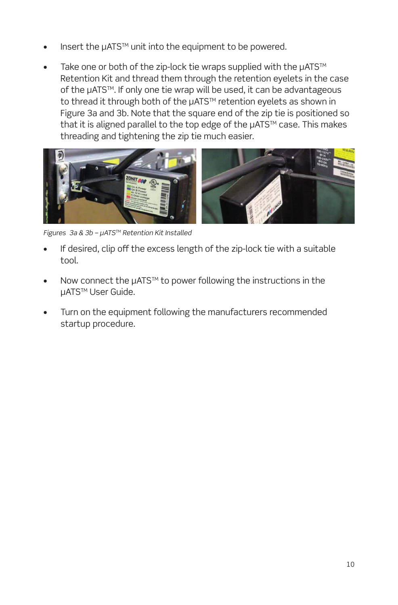- Insert the µATS<sup>™</sup> unit into the equipment to be powered.
- Take one or both of the zip-lock tie wraps supplied with the µATS™ Retention Kit and thread them through the retention eyelets in the case of the µATS<sup>™</sup>. If only one tie wrap will be used, it can be advantageous to thread it through both of the µATS™ retention eyelets as shown in Figure 3a and 3b. Note that the square end of the zip tie is positioned so that it is aligned parallel to the top edge of the µATS™ case. This makes threading and tightening the zip tie much easier.



Figures  $3a$  &  $3b$  −  $\mu$ ATS™ Retention Kit Installed

- If desired, clip off the excess length of the zip-lock tie with a suitable tool.
- Now connect the µATS™ to power following the instructions in the µATS<sup>™</sup> User Guide.
- Turn on the equipment following the manufacturers recommended startup procedure.